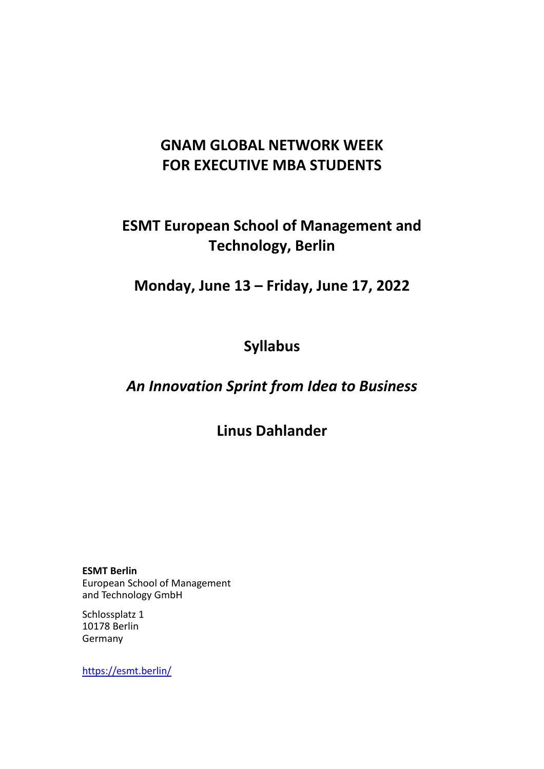## **GNAM GLOBAL NETWORK WEEK FOR EXECUTIVE MBA STUDENTS**

# **ESMT European School of Management and Technology, Berlin**

**Monday, June 13 – Friday, June 17, 2022**

# **Syllabus**

## *An Innovation Sprint from Idea to Business*

**Linus Dahlander**

**ESMT Berlin** European School of Management and Technology GmbH

Schlossplatz 1 10178 Berlin Germany

https://esmt.berlin/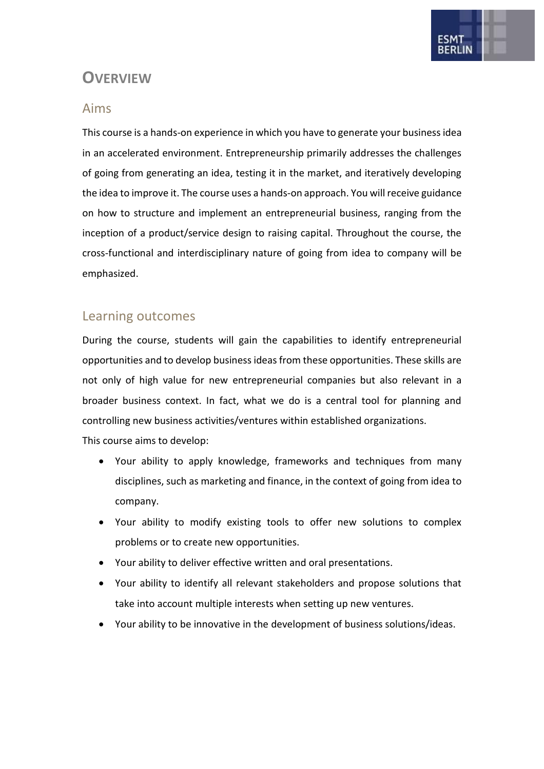

### **OVERVIEW**

### Aims

This course is a hands-on experience in which you have to generate your business idea in an accelerated environment. Entrepreneurship primarily addresses the challenges of going from generating an idea, testing it in the market, and iteratively developing the idea to improve it. The course uses a hands-on approach. You will receive guidance on how to structure and implement an entrepreneurial business, ranging from the inception of a product/service design to raising capital. Throughout the course, the cross-functional and interdisciplinary nature of going from idea to company will be emphasized.

### Learning outcomes

During the course, students will gain the capabilities to identify entrepreneurial opportunities and to develop business ideas from these opportunities. These skills are not only of high value for new entrepreneurial companies but also relevant in a broader business context. In fact, what we do is a central tool for planning and controlling new business activities/ventures within established organizations. This course aims to develop:

- Your ability to apply knowledge, frameworks and techniques from many disciplines, such as marketing and finance, in the context of going from idea to company.
- Your ability to modify existing tools to offer new solutions to complex problems or to create new opportunities.
- Your ability to deliver effective written and oral presentations.
- Your ability to identify all relevant stakeholders and propose solutions that take into account multiple interests when setting up new ventures.
- Your ability to be innovative in the development of business solutions/ideas.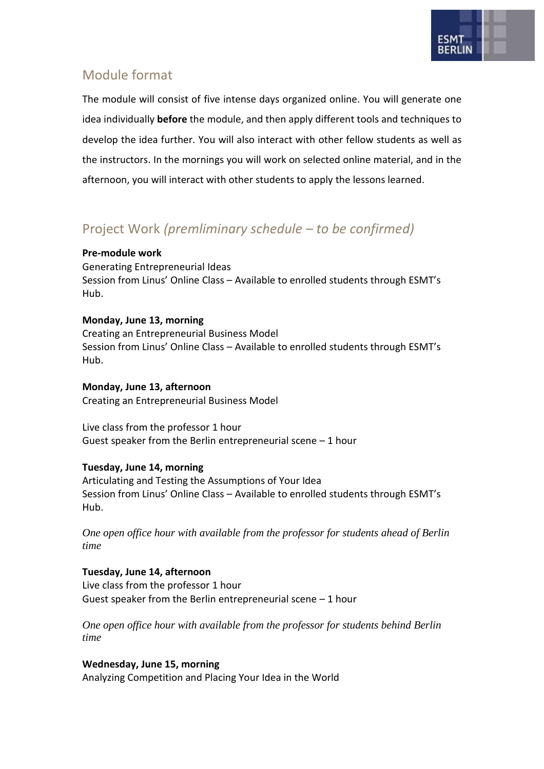

### Module format

The module will consist of five intense days organized online. You will generate one idea individually **before** the module, and then apply different tools and techniques to develop the idea further. You will also interact with other fellow students as well as the instructors. In the mornings you will work on selected online material, and in the afternoon, you will interact with other students to apply the lessons learned.

### Project Work *(premliminary schedule – to be confirmed)*

#### **Pre-module work**

Generating Entrepreneurial Ideas Session from Linus' Online Class – Available to enrolled students through ESMT's Hub.

#### **Monday, June 13, morning**

Creating an Entrepreneurial Business Model Session from Linus' Online Class – Available to enrolled students through ESMT's Hub.

#### **Monday, June 13, afternoon**

Creating an Entrepreneurial Business Model

Live class from the professor 1 hour Guest speaker from the Berlin entrepreneurial scene  $-1$  hour

#### **Tuesday, June 14, morning**

Articulating and Testing the Assumptions of Your Idea Session from Linus' Online Class – Available to enrolled students through ESMT's Hub.

*One open office hour with available from the professor for students ahead of Berlin time*

**Tuesday, June 14, afternoon** Live class from the professor 1 hour Guest speaker from the Berlin entrepreneurial scene  $-1$  hour

*One open office hour with available from the professor for students behind Berlin time*

#### **Wednesday, June 15, morning**

Analyzing Competition and Placing Your Idea in the World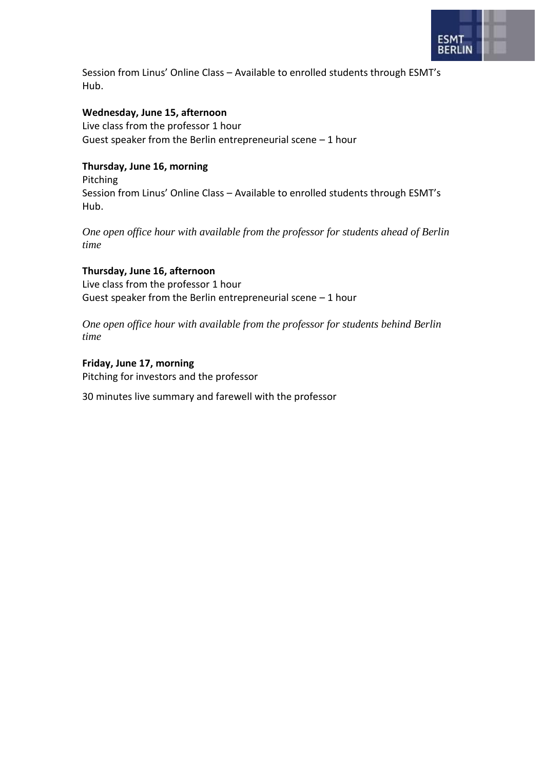

Session from Linus' Online Class – Available to enrolled students through ESMT's Hub.

#### **Wednesday, June 15, afternoon**

Live class from the professor 1 hour Guest speaker from the Berlin entrepreneurial scene – 1 hour

#### **Thursday, June 16, morning**

Pitching Session from Linus' Online Class – Available to enrolled students through ESMT's Hub.

*One open office hour with available from the professor for students ahead of Berlin time*

#### **Thursday, June 16, afternoon**

Live class from the professor 1 hour Guest speaker from the Berlin entrepreneurial scene – 1 hour

*One open office hour with available from the professor for students behind Berlin time*

**Friday, June 17, morning** Pitching for investors and the professor

30 minutes live summary and farewell with the professor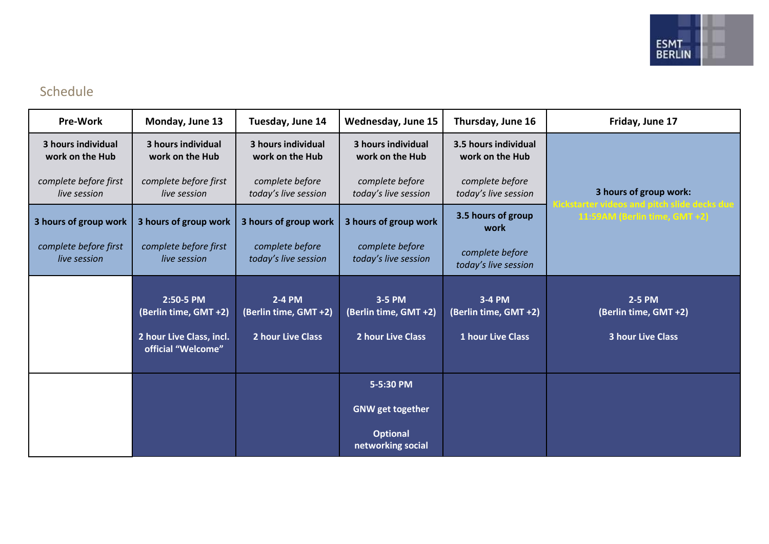

### Schedule

| <b>Pre-Work</b>                       | Monday, June 13                                                                      | Tuesday, June 14                                     | Wednesday, June 15                                   | Thursday, June 16                                           | Friday, June 17                                                  |
|---------------------------------------|--------------------------------------------------------------------------------------|------------------------------------------------------|------------------------------------------------------|-------------------------------------------------------------|------------------------------------------------------------------|
| 3 hours individual<br>work on the Hub | 3 hours individual<br>work on the Hub                                                | 3 hours individual<br>work on the Hub                | 3 hours individual<br>work on the Hub                | 3.5 hours individual<br>work on the Hub                     |                                                                  |
| complete before first<br>live session | complete before first<br>live session                                                | complete before<br>today's live session              | complete before<br>today's live session              | complete before<br>today's live session                     | 3 hours of group work:<br>tarter videos and pitch slide decks du |
| 3 hours of group work                 | 3 hours of group work                                                                | 3 hours of group work                                | 3 hours of group work                                | 3.5 hours of group<br>work                                  | 11:59AM (Berlin time, GMT +2)                                    |
| complete before first<br>live session | complete before first<br>live session                                                | complete before<br>today's live session              | complete before<br>today's live session              | complete before<br>today's live session                     |                                                                  |
|                                       | 2:50-5 PM<br>(Berlin time, GMT +2)<br>2 hour Live Class, incl.<br>official "Welcome" | 2-4 PM<br>(Berlin time, GMT +2)<br>2 hour Live Class | 3-5 PM<br>(Berlin time, GMT +2)<br>2 hour Live Class | 3-4 PM<br>(Berlin time, GMT +2)<br><b>1 hour Live Class</b> | 2-5 PM<br>(Berlin time, GMT +2)<br><b>3 hour Live Class</b>      |
|                                       |                                                                                      |                                                      | 5-5:30 PM                                            |                                                             |                                                                  |
|                                       |                                                                                      |                                                      | <b>GNW</b> get together                              |                                                             |                                                                  |
|                                       |                                                                                      |                                                      | <b>Optional</b><br>networking social                 |                                                             |                                                                  |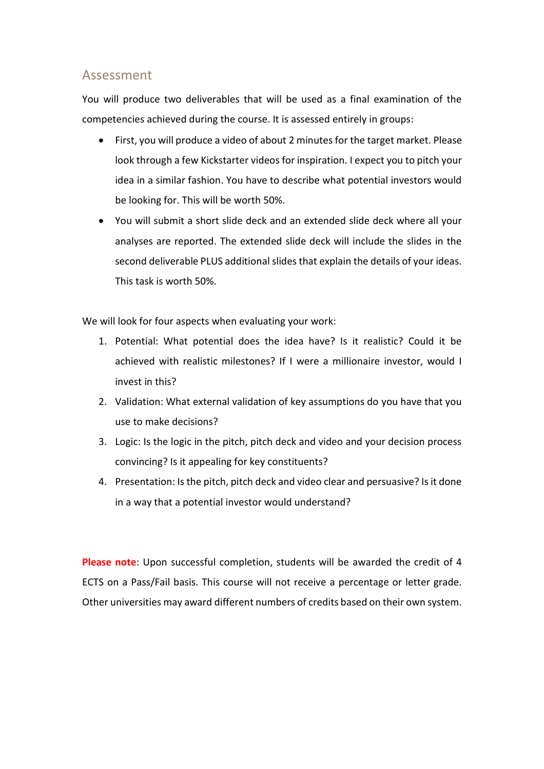#### Assessment

You will produce two deliverables that will be used as a final examination of the competencies achieved during the course. It is assessed entirely in groups:

- First, you will produce a video of about 2 minutes for the target market. Please look through a fe[w Kickstarter videos](https://www.kickstarter.com/) for inspiration. I expect you to pitch your idea in a similar fashion. You have to describe what potential investors would be looking for. This will be worth 50%.
- You will submit a short slide deck and an extended slide deck where all your analyses are reported. The extended slide deck will include the slides in the second deliverable PLUS additional slides that explain the details of your ideas. This task is worth 50%.

We will look for four aspects when evaluating your work:

- 1. Potential: What potential does the idea have? Is it realistic? Could it be achieved with realistic milestones? If I were a millionaire investor, would I invest in this?
- 2. Validation: What external validation of key assumptions do you have that you use to make decisions?
- 3. Logic: Is the logic in the pitch, pitch deck and video and your decision process convincing? Is it appealing for key constituents?
- 4. Presentation: Is the pitch, pitch deck and video clear and persuasive? Is it done in a way that a potential investor would understand?

**Please note**: Upon successful completion, students will be awarded the credit of 4 ECTS on a Pass/Fail basis. This course will not receive a percentage or letter grade. Other universities may award different numbers of credits based on their own system.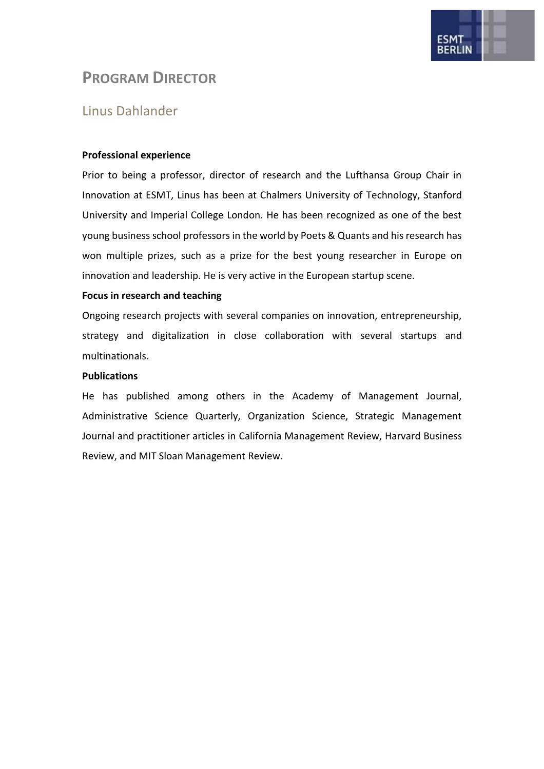

### **PROGRAM DIRECTOR**

### Linus Dahlander

#### **Professional experience**

Prior to being a professor, director of research and the Lufthansa Group Chair in Innovation at ESMT, Linus has been at Chalmers University of Technology, Stanford University and Imperial College London. He has been recognized as one of the best young business school professors in the world by Poets & Quants and his research has won multiple prizes, such as a prize for the best young researcher in Europe on innovation and leadership. He is very active in the European startup scene.

#### **Focus in research and teaching**

Ongoing research projects with several companies on innovation, entrepreneurship, strategy and digitalization in close collaboration with several startups and multinationals.

#### **Publications**

He has published among others in the Academy of Management Journal, Administrative Science Quarterly, Organization Science, Strategic Management Journal and practitioner articles in California Management Review, Harvard Business Review, and MIT Sloan Management Review.